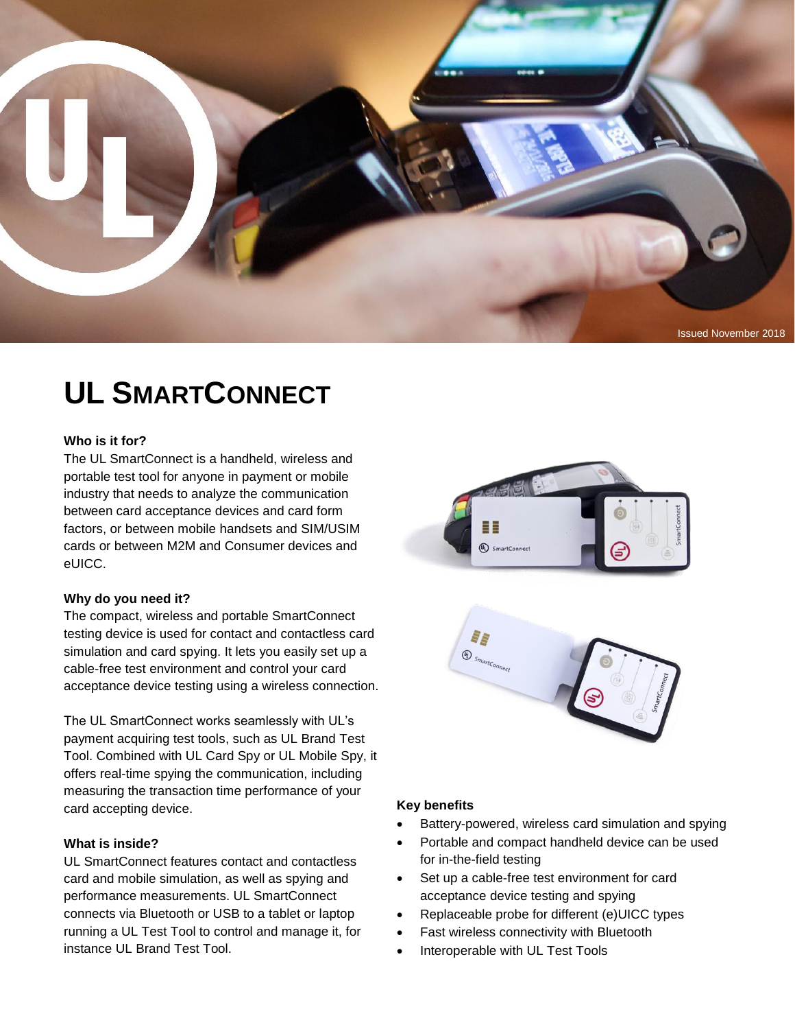

# **UL SMARTCONNECT**

#### **Who is it for?**

The UL SmartConnect is a handheld, wireless and portable test tool for anyone in payment or mobile industry that needs to analyze the communication between card acceptance devices and card form factors, or between mobile handsets and SIM/USIM cards or between M2M and Consumer devices and eUICC.

#### **Why do you need it?**

The compact, wireless and portable SmartConnect testing device is used for contact and contactless card simulation and card spying. It lets you easily set up a cable-free test environment and control your card acceptance device testing using a wireless connection.

The UL SmartConnect works seamlessly with UL's payment acquiring test tools, such as UL Brand Test Tool. Combined with UL Card Spy or UL Mobile Spy, it offers real-time spying the communication, including measuring the transaction time performance of your card accepting device.

#### **What is inside?**

UL SmartConnect features contact and contactless card and mobile simulation, as well as spying and performance measurements. UL SmartConnect connects via Bluetooth or USB to a tablet or laptop running a UL Test Tool to control and manage it, for instance UL Brand Test Tool.





#### **Key benefits**

- Battery-powered, wireless card simulation and spying
- Portable and compact handheld device can be used for in-the-field testing
- Set up a cable-free test environment for card acceptance device testing and spying
- Replaceable probe for different (e)UICC types
- Fast wireless connectivity with Bluetooth
- Interoperable with UL Test Tools